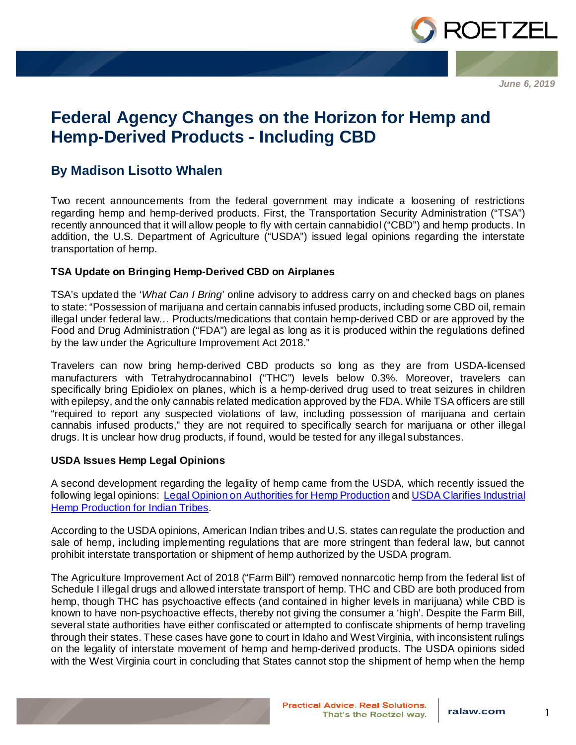

*June 6, 2019*

## **Federal Agency Changes on the Horizon for Hemp and Hemp-Derived Products - Including CBD**

## **By Madison Lisotto Whalen**

Two recent announcements from the federal government may indicate a loosening of restrictions regarding hemp and hemp-derived products. First, the Transportation Security Administration ("TSA") recently announced that it will allow people to fly with certain cannabidiol ("CBD") and hemp products. In addition, the U.S. Department of Agriculture ("USDA") issued legal opinions regarding the interstate transportation of hemp.

## **TSA Update on Bringing Hemp-Derived CBD on Airplanes**

TSA's updated the '*What Can I Bring*' online advisory to address carry on and checked bags on planes to state: "Possession of marijuana and certain cannabis infused products, including some CBD oil, remain illegal under federal law… Products/medications that contain hemp-derived CBD or are approved by the Food and Drug Administration ("FDA") are legal as long as it is produced within the regulations defined by the law under the Agriculture Improvement Act 2018."

Travelers can now bring hemp-derived CBD products so long as they are from USDA-licensed manufacturers with Tetrahydrocannabinol ("THC") levels below 0.3%. Moreover, travelers can specifically bring Epidiolex on planes, which is a hemp-derived drug used to treat seizures in children with epilepsy, and the only cannabis related medication approved by the FDA. While TSA officers are still "required to report any suspected violations of law, including possession of marijuana and certain cannabis infused products," they are not required to specifically search for marijuana or other illegal drugs. It is unclear how drug products, if found, would be tested for any illegal substances.

## **USDA Issues Hemp Legal Opinions**

A second development regarding the legality of hemp came from the USDA, which recently issued the following legal opinions: [Legal Opinion on Authorities for Hemp Production](https://www.ams.usda.gov/content/legal-opinion-authorities-hemp-production) and USDA Clarifies Industrial **Hemp Production for Indian Tribes.** 

According to the USDA opinions, American Indian tribes and U.S. states can regulate the production and sale of hemp, including implementing regulations that are more stringent than federal law, but cannot prohibit interstate transportation or shipment of hemp authorized by the USDA program.

The Agriculture Improvement Act of 2018 ("Farm Bill") removed nonnarcotic hemp from the federal list of Schedule I illegal drugs and allowed interstate transport of hemp. THC and CBD are both produced from hemp, though THC has psychoactive effects (and contained in higher levels in marijuana) while CBD is known to have non-psychoactive effects, thereby not giving the consumer a 'high'. Despite the Farm Bill, several state authorities have either confiscated or attempted to confiscate shipments of hemp traveling through their states. These cases have gone to court in Idaho and West Virginia, with inconsistent rulings on the legality of interstate movement of hemp and hemp-derived products. The USDA opinions sided with the West Virginia court in concluding that States cannot stop the shipment of hemp when the hemp